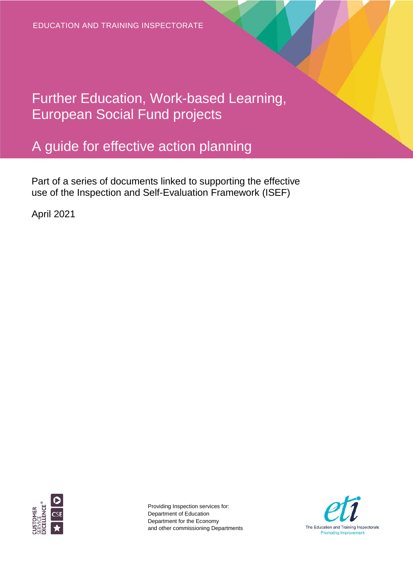Further Education, Work-based Learning, European Social Fund projects

# A guide for effective action planning

Part of a series of documents linked to supporting the effective use of the Inspection and Self-Evaluation Framework (ISEF)

April 2021



Providing Inspection services for: Department of Education Department for the Economy and other commissioning Departments

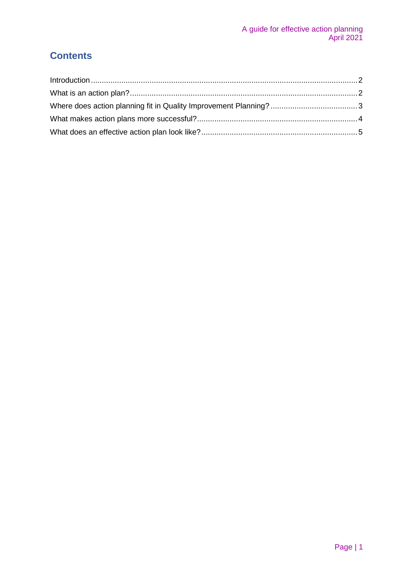### **Contents**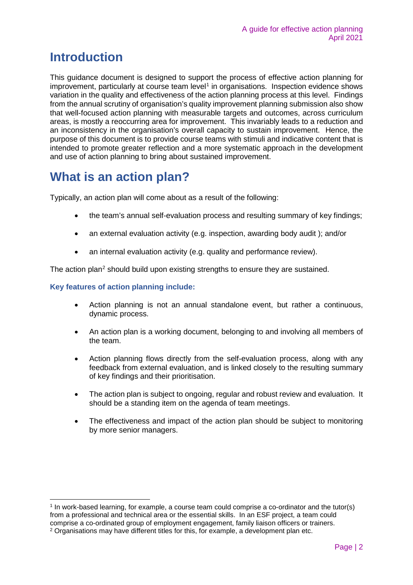### <span id="page-2-0"></span>**Introduction**

This guidance document is designed to support the process of effective action planning for improvement, particularly at course team level<sup>[1](#page-2-2)</sup> in organisations. Inspection evidence shows variation in the quality and effectiveness of the action planning process at this level. Findings from the annual scrutiny of organisation's quality improvement planning submission also show that well-focused action planning with measurable targets and outcomes, across curriculum areas, is mostly a reoccurring area for improvement. This invariably leads to a reduction and an inconsistency in the organisation's overall capacity to sustain improvement. Hence, the purpose of this document is to provide course teams with stimuli and indicative content that is intended to promote greater reflection and a more systematic approach in the development and use of action planning to bring about sustained improvement.

### <span id="page-2-1"></span>**What is an action plan?**

Typically, an action plan will come about as a result of the following:

- the team's annual self-evaluation process and resulting summary of key findings;
- an external evaluation activity (e.g. inspection, awarding body audit); and/or
- an internal evaluation activity (e.g. quality and performance review).

The action plan<sup>[2](#page-2-3)</sup> should build upon existing strengths to ensure they are sustained.

#### **Key features of action planning include:**

- Action planning is not an annual standalone event, but rather a continuous, dynamic process.
- An action plan is a working document, belonging to and involving all members of the team.
- Action planning flows directly from the self-evaluation process, along with any feedback from external evaluation, and is linked closely to the resulting summary of key findings and their prioritisation.
- The action plan is subject to ongoing, regular and robust review and evaluation. It should be a standing item on the agenda of team meetings.
- The effectiveness and impact of the action plan should be subject to monitoring by more senior managers.

<span id="page-2-3"></span><span id="page-2-2"></span> <sup>1</sup> In work-based learning, for example, a course team could comprise a co-ordinator and the tutor(s) from a professional and technical area or the essential skills. In an ESF project, a team could comprise a co-ordinated group of employment engagement, family liaison officers or trainers. <sup>2</sup> Organisations may have different titles for this, for example, a development plan etc.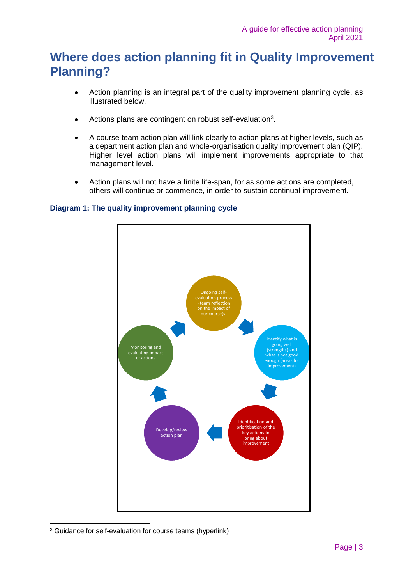## <span id="page-3-0"></span>**Where does action planning fit in Quality Improvement Planning?**

- Action planning is an integral part of the quality improvement planning cycle, as illustrated below.
- Actions plans are contingent on robust self-evaluation<sup>[3](#page-3-1)</sup>.
- A course team action plan will link clearly to action plans at higher levels, such as a department action plan and whole-organisation quality improvement plan (QIP). Higher level action plans will implement improvements appropriate to that management level.
- Action plans will not have a finite life-span, for as some actions are completed, others will continue or commence, in order to sustain continual improvement.

#### **Diagram 1: The quality improvement planning cycle**



<span id="page-3-1"></span> <sup>3</sup> Guidance for self-evaluation for course teams (hyperlink)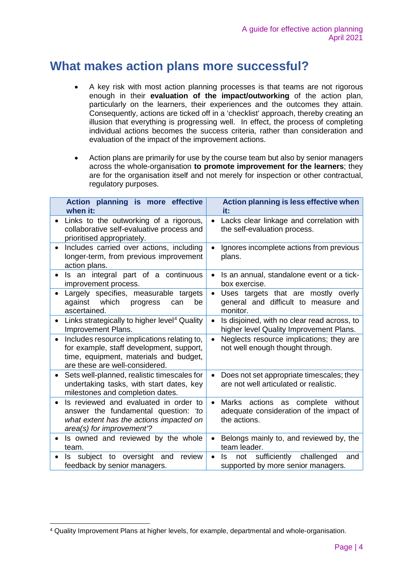### <span id="page-4-0"></span>**What makes action plans more successful?**

- A key risk with most action planning processes is that teams are not rigorous enough in their **evaluation of the impact/outworking** of the action plan, particularly on the learners, their experiences and the outcomes they attain. Consequently, actions are ticked off in a 'checklist' approach, thereby creating an illusion that everything is progressing well. In effect, the process of completing individual actions becomes the success criteria, rather than consideration and evaluation of the impact of the improvement actions.
- Action plans are primarily for use by the course team but also by senior managers across the whole-organisation **to promote improvement for the learners**; they are for the organisation itself and not merely for inspection or other contractual, regulatory purposes.

| Action planning is more effective<br>when it:                                                                                                                       | Action planning is less effective when<br>it:                                                        |
|---------------------------------------------------------------------------------------------------------------------------------------------------------------------|------------------------------------------------------------------------------------------------------|
| Links to the outworking of a rigorous,<br>collaborative self-evaluative process and<br>prioritised appropriately.                                                   | Lacks clear linkage and correlation with<br>the self-evaluation process.                             |
| Includes carried over actions, including<br>longer-term, from previous improvement<br>action plans.                                                                 | Ignores incomplete actions from previous<br>plans.                                                   |
| Is an integral part of a continuous<br>$\bullet$<br>improvement process.                                                                                            | Is an annual, standalone event or a tick-<br>box exercise.                                           |
| Largely specifies, measurable targets<br>against which<br>be<br>progress<br>can<br>ascertained.                                                                     | Uses targets that are mostly overly<br>$\bullet$<br>general and difficult to measure and<br>monitor. |
| Links strategically to higher level <sup>4</sup> Quality<br>Improvement Plans.                                                                                      | Is disjoined, with no clear read across, to<br>higher level Quality Improvement Plans.               |
| Includes resource implications relating to,<br>for example, staff development, support,<br>time, equipment, materials and budget,<br>are these are well-considered. | Neglects resource implications; they are<br>not well enough thought through.                         |
| Sets well-planned, realistic timescales for<br>$\bullet$<br>undertaking tasks, with start dates, key<br>milestones and completion dates.                            | Does not set appropriate timescales; they<br>are not well articulated or realistic.                  |
| Is reviewed and evaluated in order to<br>answer the fundamental question: 'to<br>what extent has the actions impacted on<br>area(s) for improvement'?               | actions as complete<br>without<br>Marks<br>adequate consideration of the impact of<br>the actions.   |
| Is owned and reviewed by the whole<br>$\bullet$<br>team.                                                                                                            | Belongs mainly to, and reviewed by, the<br>team leader.                                              |
| subject to oversight and<br>review<br>Is.<br>feedback by senior managers.                                                                                           | sufficiently challenged<br>Is<br>not<br>and<br>supported by more senior managers.                    |

<span id="page-4-1"></span> <sup>4</sup> Quality Improvement Plans at higher levels, for example, departmental and whole-organisation.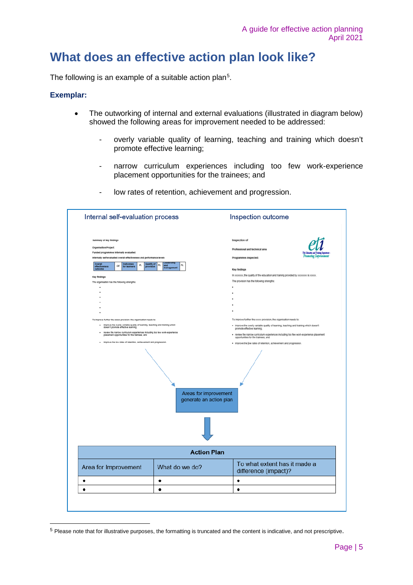### <span id="page-5-0"></span>**What does an effective action plan look like?**

The following is an example of a suitable action plan $^5$  $^5$ .

#### **Exemplar:**

- The outworking of internal and external evaluations (illustrated in diagram below) showed the following areas for improvement needed to be addressed:
	- overly variable quality of learning, teaching and training which doesn't promote effective learning;
	- narrow curriculum experiences including too few work-experience placement opportunities for the trainees; and
	- low rates of retention, achievement and progression.

| Internal self-evaluation process                                                                                              |                                                 | Inspection outcome                                                                                                            |  |  |
|-------------------------------------------------------------------------------------------------------------------------------|-------------------------------------------------|-------------------------------------------------------------------------------------------------------------------------------|--|--|
| <b>Summary of key findings</b>                                                                                                |                                                 | Inspection of                                                                                                                 |  |  |
| Organisation/Project:                                                                                                         |                                                 | Professional and technical area                                                                                               |  |  |
| Funded programmes internally evaluated:                                                                                       |                                                 |                                                                                                                               |  |  |
| internally self-evaluated overall effectiveness and performance levels                                                        |                                                 | Programmes inspected:                                                                                                         |  |  |
| Overall<br>effectiveness<br>outcome<br>OE Outcomes<br>$\rho_L$ Quality of                                                     | $\rho_L$<br>$\rho_{\rm L}$<br>and<br>management | Key findings                                                                                                                  |  |  |
| Key findings                                                                                                                  |                                                 | In xxxxxxx, the quality of the education and training provided by xxxxxxxx is xxxxx.                                          |  |  |
| The organisation has the following strengths:                                                                                 |                                                 | The provision has the following strengths:                                                                                    |  |  |
|                                                                                                                               |                                                 |                                                                                                                               |  |  |
|                                                                                                                               |                                                 |                                                                                                                               |  |  |
|                                                                                                                               |                                                 |                                                                                                                               |  |  |
|                                                                                                                               |                                                 |                                                                                                                               |  |  |
|                                                                                                                               |                                                 |                                                                                                                               |  |  |
| To improve further the xxxxx provision, the organisation needs to:                                                            |                                                 | To improve further the xxxxx provision, the organisation needs to:                                                            |  |  |
| . Improve the overly variable quality of learning, teaching and training which<br>doesn't promote effective learning:         |                                                 | . improve the overly variable quality of learning, teaching and training which doesn't<br>promote effective learning:         |  |  |
| . review the narrow curriculum experiences including too few work-experience<br>placement opportunities for the trainees; and |                                                 | . review the narrow curriculum experiences including too few work-experience placement<br>opportunities for the trainees; and |  |  |
| . improve the low rates of retention, achievement and progression.                                                            |                                                 | · improve the low rates of retention, achievement and progression.                                                            |  |  |
|                                                                                                                               |                                                 |                                                                                                                               |  |  |
| Areas for improvement<br>generate an action plan                                                                              |                                                 |                                                                                                                               |  |  |
| <b>Action Plan</b>                                                                                                            |                                                 |                                                                                                                               |  |  |
|                                                                                                                               | What do we do?                                  | To what extent has it made a<br>difference (impact)?                                                                          |  |  |
|                                                                                                                               |                                                 |                                                                                                                               |  |  |
|                                                                                                                               | ٠                                               | ٠                                                                                                                             |  |  |
| Area for Improvement<br>٠<br>٠                                                                                                | ٠                                               | ٠                                                                                                                             |  |  |

<span id="page-5-1"></span> <sup>5</sup> Please note that for illustrative purposes, the formatting is truncated and the content is indicative, and not prescriptive.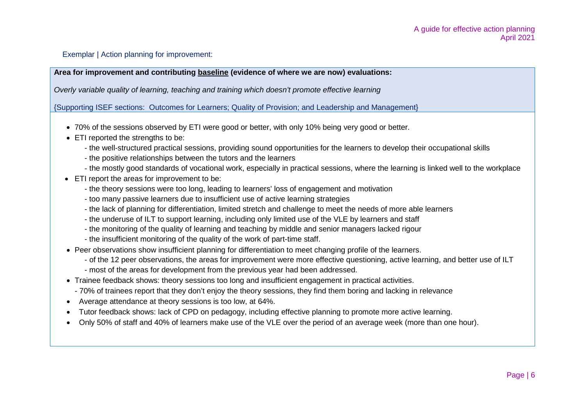Exemplar | Action planning for improvement:

**Area for improvement and contributing baseline (evidence of where we are now) evaluations:**

*Overly variable quality of learning, teaching and training which doesn't promote effective learning*

{Supporting ISEF sections: Outcomes for Learners; Quality of Provision; and Leadership and Management}

- 70% of the sessions observed by ETI were good or better, with only 10% being very good or better.
- ETI reported the strengths to be:
	- the well-structured practical sessions, providing sound opportunities for the learners to develop their occupational skills
	- the positive relationships between the tutors and the learners
	- the mostly good standards of vocational work, especially in practical sessions, where the learning is linked well to the workplace
- ETI report the areas for improvement to be:
	- the theory sessions were too long, leading to learners' loss of engagement and motivation
	- too many passive learners due to insufficient use of active learning strategies
	- the lack of planning for differentiation, limited stretch and challenge to meet the needs of more able learners
	- the underuse of ILT to support learning, including only limited use of the VLE by learners and staff
	- the monitoring of the quality of learning and teaching by middle and senior managers lacked rigour
	- the insufficient monitoring of the quality of the work of part-time staff.
- Peer observations show insufficient planning for differentiation to meet changing profile of the learners.
	- of the 12 peer observations, the areas for improvement were more effective questioning, active learning, and better use of ILT
	- most of the areas for development from the previous year had been addressed.
- Trainee feedback shows: theory sessions too long and insufficient engagement in practical activities.
- 70% of trainees report that they don't enjoy the theory sessions, they find them boring and lacking in relevance
- Average attendance at theory sessions is too low, at 64%.
- Tutor feedback shows: lack of CPD on pedagogy, including effective planning to promote more active learning.
- Only 50% of staff and 40% of learners make use of the VLE over the period of an average week (more than one hour).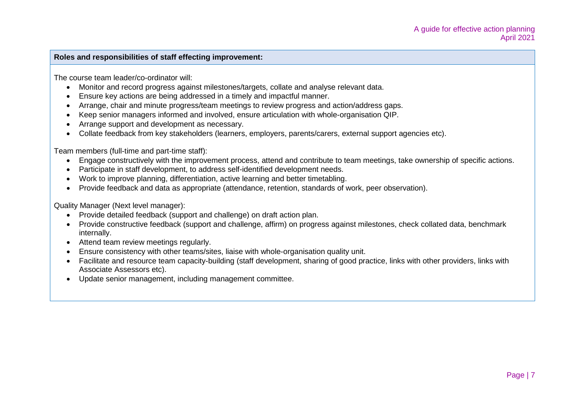#### **Roles and responsibilities of staff effecting improvement:**

The course team leader/co-ordinator will:

- Monitor and record progress against milestones/targets, collate and analyse relevant data.
- Ensure key actions are being addressed in a timely and impactful manner.
- Arrange, chair and minute progress/team meetings to review progress and action/address gaps.
- Keep senior managers informed and involved, ensure articulation with whole-organisation QIP.
- Arrange support and development as necessary.
- Collate feedback from key stakeholders (learners, employers, parents/carers, external support agencies etc).

Team members (full-time and part-time staff):

- Engage constructively with the improvement process, attend and contribute to team meetings, take ownership of specific actions.
- Participate in staff development, to address self-identified development needs.
- Work to improve planning, differentiation, active learning and better timetabling.
- Provide feedback and data as appropriate (attendance, retention, standards of work, peer observation).

Quality Manager (Next level manager):

- Provide detailed feedback (support and challenge) on draft action plan.
- Provide constructive feedback (support and challenge, affirm) on progress against milestones, check collated data, benchmark internally.
- Attend team review meetings regularly.
- Ensure consistency with other teams/sites, liaise with whole-organisation quality unit.
- Facilitate and resource team capacity-building (staff development, sharing of good practice, links with other providers, links with Associate Assessors etc).
- Update senior management, including management committee.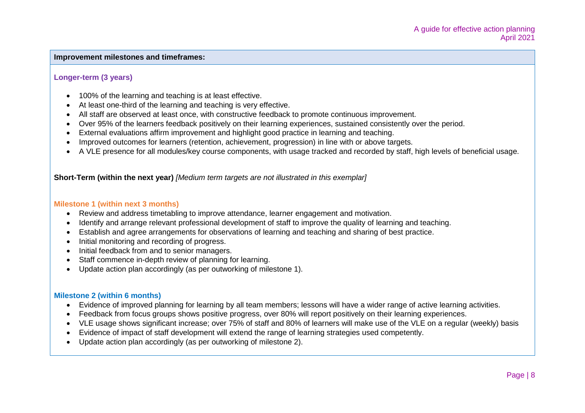#### **Improvement milestones and timeframes:**

#### **Longer-term (3 years)**

- 100% of the learning and teaching is at least effective.
- At least one-third of the learning and teaching is very effective.
- All staff are observed at least once, with constructive feedback to promote continuous improvement.
- Over 95% of the learners feedback positively on their learning experiences, sustained consistently over the period.
- External evaluations affirm improvement and highlight good practice in learning and teaching.
- Improved outcomes for learners (retention, achievement, progression) in line with or above targets.
- A VLE presence for all modules/key course components, with usage tracked and recorded by staff, high levels of beneficial usage.

**Short-Term (within the next year)** *[Medium term targets are not illustrated in this exemplar]*

#### **Milestone 1 (within next 3 months)**

- Review and address timetabling to improve attendance, learner engagement and motivation.
- Identify and arrange relevant professional development of staff to improve the quality of learning and teaching.
- Establish and agree arrangements for observations of learning and teaching and sharing of best practice.
- Initial monitoring and recording of progress.
- Initial feedback from and to senior managers.
- Staff commence in-depth review of planning for learning.
- Update action plan accordingly (as per outworking of milestone 1).

#### **Milestone 2 (within 6 months)**

- Evidence of improved planning for learning by all team members; lessons will have a wider range of active learning activities.
- Feedback from focus groups shows positive progress, over 80% will report positively on their learning experiences.
- VLE usage shows significant increase; over 75% of staff and 80% of learners will make use of the VLE on a regular (weekly) basis
- Evidence of impact of staff development will extend the range of learning strategies used competently.
- Update action plan accordingly (as per outworking of milestone 2).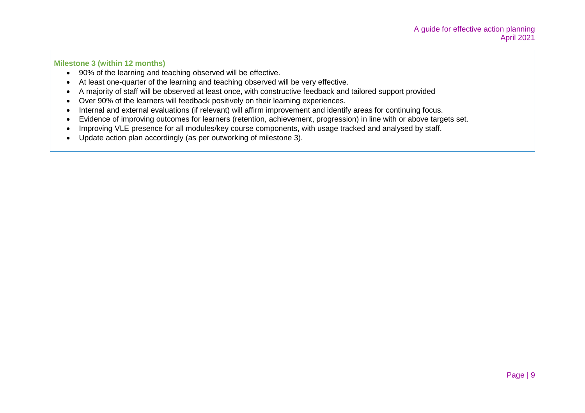#### **Milestone 3 (within 12 months)**

- 90% of the learning and teaching observed will be effective.
- At least one-quarter of the learning and teaching observed will be very effective.
- A majority of staff will be observed at least once, with constructive feedback and tailored support provided
- Over 90% of the learners will feedback positively on their learning experiences.
- Internal and external evaluations (if relevant) will affirm improvement and identify areas for continuing focus.
- Evidence of improving outcomes for learners (retention, achievement, progression) in line with or above targets set.
- Improving VLE presence for all modules/key course components, with usage tracked and analysed by staff.
- Update action plan accordingly (as per outworking of milestone 3).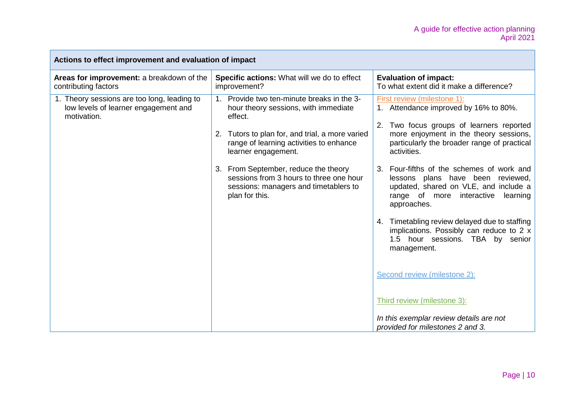| Actions to effect improvement and evaluation of impact                                             |                                                                                                                                                                                                                                                                                                                                                                                 |                                                                                                                                                                                                                                                                                                                                                                                                                                                                                                                                                                                                                                                                                                                     |  |
|----------------------------------------------------------------------------------------------------|---------------------------------------------------------------------------------------------------------------------------------------------------------------------------------------------------------------------------------------------------------------------------------------------------------------------------------------------------------------------------------|---------------------------------------------------------------------------------------------------------------------------------------------------------------------------------------------------------------------------------------------------------------------------------------------------------------------------------------------------------------------------------------------------------------------------------------------------------------------------------------------------------------------------------------------------------------------------------------------------------------------------------------------------------------------------------------------------------------------|--|
| Areas for improvement: a breakdown of the<br>contributing factors                                  | Specific actions: What will we do to effect<br>improvement?                                                                                                                                                                                                                                                                                                                     | <b>Evaluation of impact:</b><br>To what extent did it make a difference?                                                                                                                                                                                                                                                                                                                                                                                                                                                                                                                                                                                                                                            |  |
| 1. Theory sessions are too long, leading to<br>low levels of learner engagement and<br>motivation. | Provide two ten-minute breaks in the 3-<br>1 <sub>1</sub><br>hour theory sessions, with immediate<br>effect.<br>2. Tutors to plan for, and trial, a more varied<br>range of learning activities to enhance<br>learner engagement.<br>3. From September, reduce the theory<br>sessions from 3 hours to three one hour<br>sessions: managers and timetablers to<br>plan for this. | First review (milestone 1):<br>1. Attendance improved by 16% to 80%.<br>Two focus groups of learners reported<br>2.<br>more enjoyment in the theory sessions,<br>particularly the broader range of practical<br>activities.<br>3. Four-fifths of the schemes of work and<br>lessons plans have been reviewed,<br>updated, shared on VLE, and include a<br>range of more interactive<br>learning<br>approaches.<br>4. Timetabling review delayed due to staffing<br>implications. Possibly can reduce to $2 \times$<br>1.5 hour sessions. TBA by senior<br>management.<br>Second review (milestone 2):<br>Third review (milestone 3):<br>In this exemplar review details are not<br>provided for milestones 2 and 3. |  |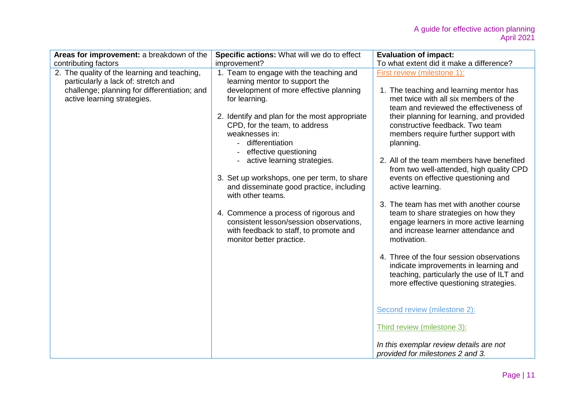| Areas for improvement: a breakdown of the                                                                                                                          | Specific actions: What will we do to effect                                                                                                                                                                                                                                                                           | <b>Evaluation of impact:</b>                                                                                                                                                                                                                                                                                                                                                                                                                                                                                                                                           |
|--------------------------------------------------------------------------------------------------------------------------------------------------------------------|-----------------------------------------------------------------------------------------------------------------------------------------------------------------------------------------------------------------------------------------------------------------------------------------------------------------------|------------------------------------------------------------------------------------------------------------------------------------------------------------------------------------------------------------------------------------------------------------------------------------------------------------------------------------------------------------------------------------------------------------------------------------------------------------------------------------------------------------------------------------------------------------------------|
| contributing factors                                                                                                                                               | improvement?                                                                                                                                                                                                                                                                                                          |                                                                                                                                                                                                                                                                                                                                                                                                                                                                                                                                                                        |
| 2. The quality of the learning and teaching,<br>particularly a lack of: stretch and<br>challenge; planning for differentiation; and<br>active learning strategies. | 1. Team to engage with the teaching and<br>learning mentor to support the<br>development of more effective planning<br>for learning.<br>2. Identify and plan for the most appropriate<br>CPD, for the team, to address<br>weaknesses in:<br>differentiation<br>effective questioning<br>- active learning strategies. | To what extent did it make a difference?<br>First review (milestone 1):<br>1. The teaching and learning mentor has<br>met twice with all six members of the<br>team and reviewed the effectiveness of<br>their planning for learning, and provided<br>constructive feedback. Two team<br>members require further support with<br>planning.<br>2. All of the team members have benefited<br>from two well-attended, high quality CPD                                                                                                                                    |
|                                                                                                                                                                    | 3. Set up workshops, one per term, to share<br>and disseminate good practice, including<br>with other teams.<br>4. Commence a process of rigorous and<br>consistent lesson/session observations,<br>with feedback to staff, to promote and<br>monitor better practice.                                                | events on effective questioning and<br>active learning.<br>3. The team has met with another course<br>team to share strategies on how they<br>engage learners in more active learning<br>and increase learner attendance and<br>motivation.<br>4. Three of the four session observations<br>indicate improvements in learning and<br>teaching, particularly the use of ILT and<br>more effective questioning strategies.<br>Second review (milestone 2):<br>Third review (milestone 3):<br>In this exemplar review details are not<br>provided for milestones 2 and 3. |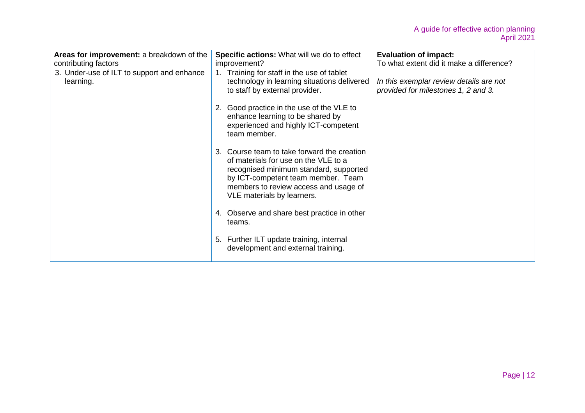| Areas for improvement: a breakdown of the               | Specific actions: What will we do to effect                                                                                                                                                                                                | <b>Evaluation of impact:</b>                                                   |
|---------------------------------------------------------|--------------------------------------------------------------------------------------------------------------------------------------------------------------------------------------------------------------------------------------------|--------------------------------------------------------------------------------|
| contributing factors                                    | improvement?                                                                                                                                                                                                                               | To what extent did it make a difference?                                       |
| 3. Under-use of ILT to support and enhance<br>learning. | Training for staff in the use of tablet<br>$1_{-}$<br>technology in learning situations delivered<br>to staff by external provider.                                                                                                        | In this exemplar review details are not<br>provided for milestones 1, 2 and 3. |
|                                                         | Good practice in the use of the VLE to<br>2.<br>enhance learning to be shared by<br>experienced and highly ICT-competent<br>team member.                                                                                                   |                                                                                |
|                                                         | 3. Course team to take forward the creation<br>of materials for use on the VLE to a<br>recognised minimum standard, supported<br>by ICT-competent team member. Team<br>members to review access and usage of<br>VLE materials by learners. |                                                                                |
|                                                         | 4. Observe and share best practice in other<br>teams.                                                                                                                                                                                      |                                                                                |
|                                                         | 5. Further ILT update training, internal<br>development and external training.                                                                                                                                                             |                                                                                |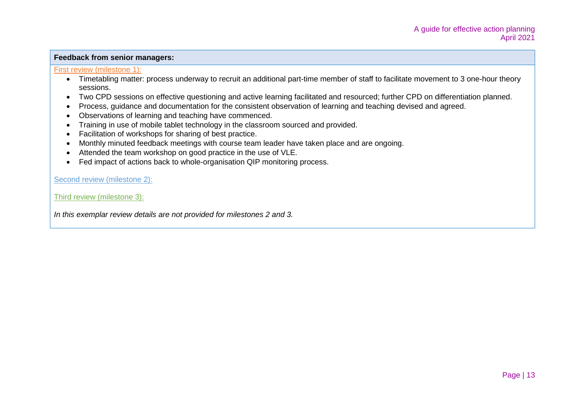#### **Feedback from senior managers:**

#### First review (milestone 1):

- Timetabling matter: process underway to recruit an additional part-time member of staff to facilitate movement to 3 one-hour theory sessions.
- Two CPD sessions on effective questioning and active learning facilitated and resourced; further CPD on differentiation planned.
- Process, guidance and documentation for the consistent observation of learning and teaching devised and agreed.
- Observations of learning and teaching have commenced.
- Training in use of mobile tablet technology in the classroom sourced and provided.
- Facilitation of workshops for sharing of best practice.
- Monthly minuted feedback meetings with course team leader have taken place and are ongoing.
- Attended the team workshop on good practice in the use of VLE.
- Fed impact of actions back to whole-organisation QIP monitoring process.

Second review (milestone 2):

Third review (milestone 3):

*In this exemplar review details are not provided for milestones 2 and 3.*